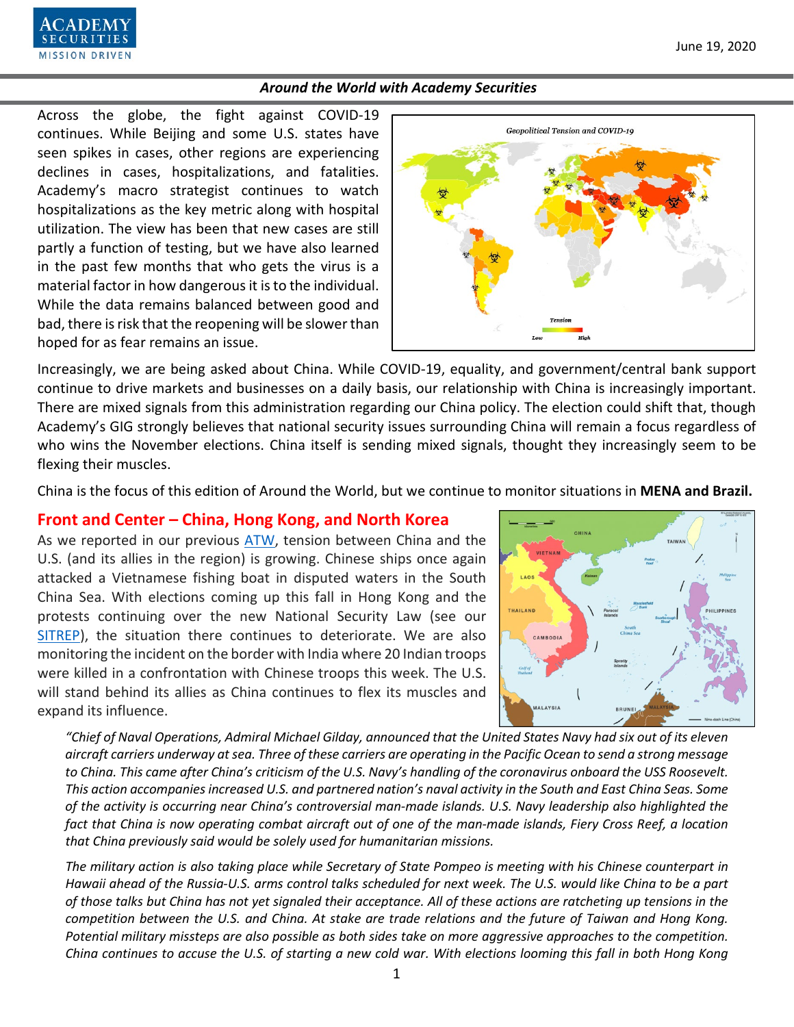

Across the globe, the fight against COVID-19 continues. While Beijing and some U.S. states have seen spikes in cases, other regions are experiencing declines in cases, hospitalizations, and fatalities. Academy's macro strategist continues to watch hospitalizations as the key metric along with hospital utilization. The view has been that new cases are still partly a function of testing, but we have also learned in the past few months that who gets the virus is a material factor in how dangerous it is to the individual. While the data remains balanced between good and bad, there is risk that the reopening will be slower than hoped for as fear remains an issue.



Increasingly, we are being asked about China. While COVID-19, equality, and government/central bank support continue to drive markets and businesses on a daily basis, our relationship with China is increasingly important. There are mixed signals from this administration regarding our China policy. The election could shift that, though Academy's GIG strongly believes that national security issues surrounding China will remain a focus regardless of who wins the November elections. China itself is sending mixed signals, thought they increasingly seem to be flexing their muscles.

China is the focus of this edition of Around the World, but we continue to monitor situations in **MENA and Brazil.**

# **Front and Center – China, Hong Kong, and North Korea**

As we reported in our previous [ATW,](https://www.academysecurities.com/wordpress/wp-content/uploads/2020/06/Around-the-World-with-Academy-Securities_6-5-20.pdf) tension between China and the U.S. (and its allies in the region) is growing. Chinese ships once again attacked a Vietnamese fishing boat in disputed waters in the South China Sea. With elections coming up this fall in Hong Kong and the protests continuing over the new National Security Law (see our [SITREP\)](https://www.academysecurities.com/china-moves-to-pass-hong-kong-national-security-law/), the situation there continues to deteriorate. We are also monitoring the incident on the border with India where 20 Indian troops were killed in a confrontation with Chinese troops this week. The U.S. will stand behind its allies as China continues to flex its muscles and expand its influence.



*"Chief of Naval Operations, Admiral Michael Gilday, announced that the United States Navy had six out of its eleven aircraft carriers underway at sea. Three of these carriers are operating in the Pacific Ocean to send a strong message to China. This came after China's criticism of the U.S. Navy's handling of the coronavirus onboard the USS Roosevelt. This action accompanies increased U.S. and partnered nation's naval activity in the South and East China Seas. Some of the activity is occurring near China's controversial man-made islands. U.S. Navy leadership also highlighted the fact that China is now operating combat aircraft out of one of the man-made islands, Fiery Cross Reef, a location that China previously said would be solely used for humanitarian missions.*

*The military action is also taking place while Secretary of State Pompeo is meeting with his Chinese counterpart in Hawaii ahead of the Russia-U.S. arms control talks scheduled for next week. The U.S. would like China to be a part of those talks but China has not yet signaled their acceptance. All of these actions are ratcheting up tensions in the competition between the U.S. and China. At stake are trade relations and the future of Taiwan and Hong Kong. Potential military missteps are also possible as both sides take on more aggressive approaches to the competition. China continues to accuse the U.S. of starting a new cold war. With elections looming this fall in both Hong Kong*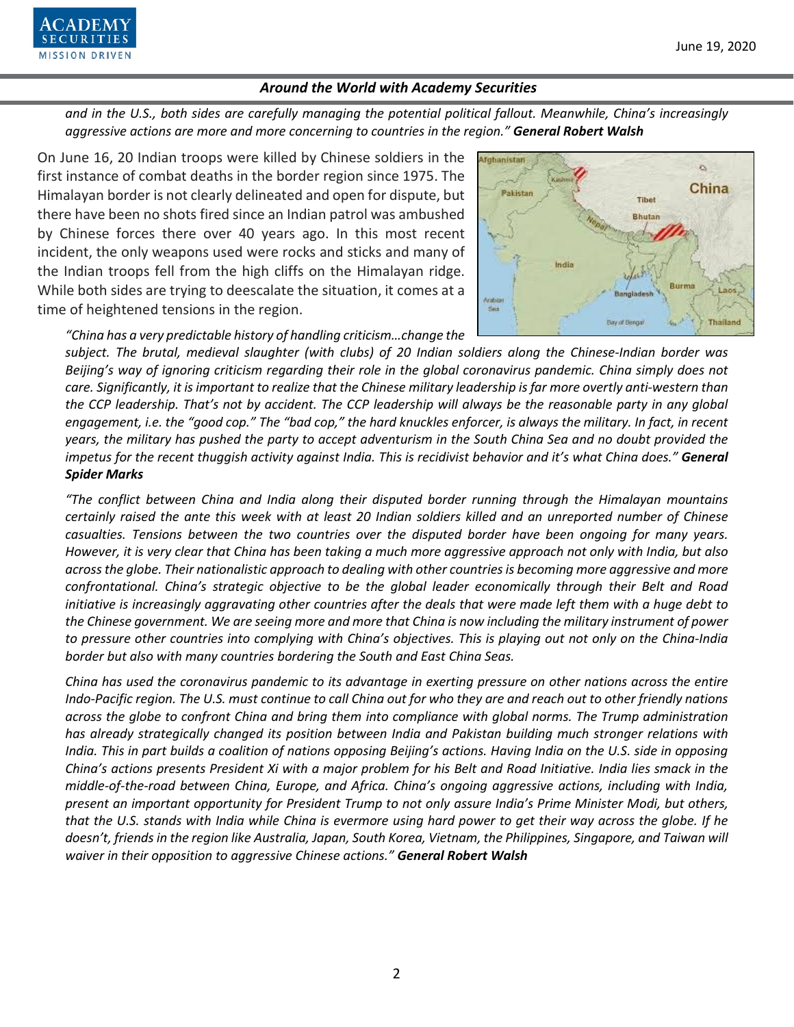

*and in the U.S., both sides are carefully managing the potential political fallout. Meanwhile, China's increasingly aggressive actions are more and more concerning to countries in the region." General Robert Walsh*

On June 16, 20 Indian troops were killed by Chinese soldiers in the first instance of combat deaths in the border region since 1975. The Himalayan border is not clearly delineated and open for dispute, but there have been no shots fired since an Indian patrol was ambushed by Chinese forces there over 40 years ago. In this most recent incident, the only weapons used were rocks and sticks and many of the Indian troops fell from the high cliffs on the Himalayan ridge. While both sides are trying to deescalate the situation, it comes at a time of heightened tensions in the region.



*"China has a very predictable history of handling criticism…change the* 

*subject. The brutal, medieval slaughter (with clubs) of 20 Indian soldiers along the Chinese-Indian border was Beijing's way of ignoring criticism regarding their role in the global coronavirus pandemic. China simply does not care. Significantly, it is important to realize that the Chinese military leadership is far more overtly anti-western than the CCP leadership. That's not by accident. The CCP leadership will always be the reasonable party in any global engagement, i.e. the "good cop." The "bad cop," the hard knuckles enforcer, is always the military. In fact, in recent years, the military has pushed the party to accept adventurism in the South China Sea and no doubt provided the impetus for the recent thuggish activity against India. This is recidivist behavior and it's what China does."* **General** *Spider Marks*

*"The conflict between China and India along their disputed border running through the Himalayan mountains certainly raised the ante this week with at least 20 Indian soldiers killed and an unreported number of Chinese casualties. Tensions between the two countries over the disputed border have been ongoing for many years. However, it is very clear that China has been taking a much more aggressive approach not only with India, but also across the globe. Their nationalistic approach to dealing with other countries is becoming more aggressive and more confrontational. China's strategic objective to be the global leader economically through their Belt and Road initiative is increasingly aggravating other countries after the deals that were made left them with a huge debt to the Chinese government. We are seeing more and more that China is now including the military instrument of power to pressure other countries into complying with China's objectives. This is playing out not only on the China-India border but also with many countries bordering the South and East China Seas.*

*China has used the coronavirus pandemic to its advantage in exerting pressure on other nations across the entire Indo-Pacific region. The U.S. must continue to call China out for who they are and reach out to other friendly nations across the globe to confront China and bring them into compliance with global norms. The Trump administration has already strategically changed its position between India and Pakistan building much stronger relations with India. This in part builds a coalition of nations opposing Beijing's actions. Having India on the U.S. side in opposing China's actions presents President Xi with a major problem for his Belt and Road Initiative. India lies smack in the middle-of-the-road between China, Europe, and Africa. China's ongoing aggressive actions, including with India, present an important opportunity for President Trump to not only assure India's Prime Minister Modi, but others, that the U.S. stands with India while China is evermore using hard power to get their way across the globe. If he doesn't, friends in the region like Australia, Japan, South Korea, Vietnam, the Philippines, Singapore, and Taiwan will waiver in their opposition to aggressive Chinese actions." General Robert Walsh*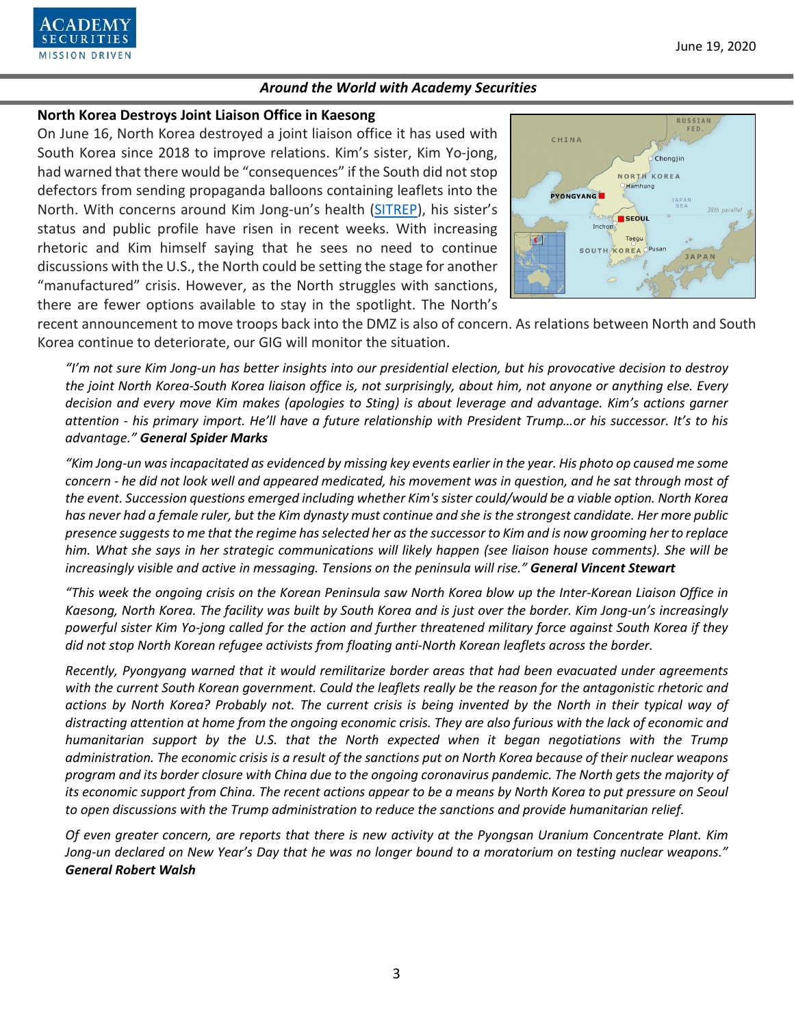

### **North Korea Destroys Joint Liaison Office in Kaesong**

On June 16, North Korea destroyed a joint liaison office it has used with South Korea since 2018 to improve relations. Kim's sister, Kim Yo-jong, had warned that there would be "consequences" if the South did not stop defectors from sending propaganda balloons containing leaflets into the North. With concerns around Kim Jong-un's health [\(SITREP\)](https://www.academysecurities.com/kim-jong-un-health-concerns-and-implications-for-north-korea/), his sister's status and public profile have risen in recent weeks. With increasing rhetoric and Kim himself saying that he sees no need to continue discussions with the U.S., the North could be setting the stage for another "manufactured" crisis. However, as the North struggles with sanctions, there are fewer options available to stay in the spotlight. The North's



recent announcement to move troops back into the DMZ is also of concern. As relations between North and South Korea continue to deteriorate, our GIG will monitor the situation.

*"I'm not sure Kim Jong-un has better insights into our presidential election, but his provocative decision to destroy the joint North Korea-South Korea liaison office is, not surprisingly, about him, not anyone or anything else. Every decision and every move Kim makes (apologies to Sting) is about leverage and advantage. Kim's actions garner attention - his primary import. He'll have a future relationship with President Trump…or his successor. It's to his advantage." General Spider Marks*

*"Kim Jong-un was incapacitated as evidenced by missing key events earlier in the year. His photo op caused me some concern - he did not look well and appeared medicated, his movement was in question, and he sat through most of the event. Succession questions emerged including whether Kim's sister could/would be a viable option. North Korea has never had a female ruler, but the Kim dynasty must continue and she is the strongest candidate. Her more public presence suggests to me that the regime has selected her as the successor to Kim and is now grooming her to replace him. What she says in her strategic communications will likely happen (see liaison house comments). She will be increasingly visible and active in messaging. Tensions on the peninsula will rise." General Vincent Stewart*

*"This week the ongoing crisis on the Korean Peninsula saw North Korea blow up the Inter-Korean Liaison Office in Kaesong, North Korea. The facility was built by South Korea and is just over the border. Kim Jong-un's increasingly powerful sister Kim Yo-jong called for the action and further threatened military force against South Korea if they did not stop North Korean refugee activists from floating anti-North Korean leaflets across the border.*

*Recently, Pyongyang warned that it would remilitarize border areas that had been evacuated under agreements with the current South Korean government. Could the leaflets really be the reason for the antagonistic rhetoric and actions by North Korea? Probably not. The current crisis is being invented by the North in their typical way of distracting attention at home from the ongoing economic crisis. They are also furious with the lack of economic and humanitarian support by the U.S. that the North expected when it began negotiations with the Trump administration. The economic crisis is a result of the sanctions put on North Korea because of their nuclear weapons program and its border closure with China due to the ongoing coronavirus pandemic. The North gets the majority of its economic support from China. The recent actions appear to be a means by North Korea to put pressure on Seoul to open discussions with the Trump administration to reduce the sanctions and provide humanitarian relief.*

*Of even greater concern, are reports that there is new activity at the Pyongsan Uranium Concentrate Plant. Kim Jong-un declared on New Year's Day that he was no longer bound to a moratorium on testing nuclear weapons." General Robert Walsh*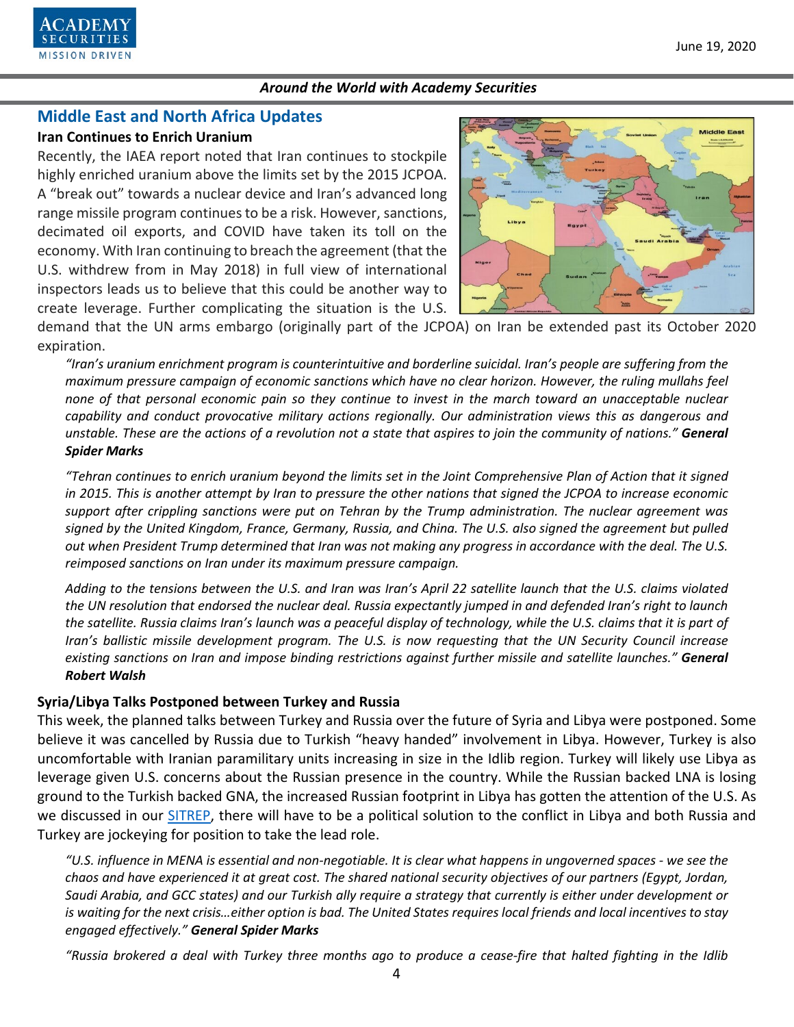

# **Middle East and North Africa Updates**

### **Iran Continues to Enrich Uranium**

Recently, the IAEA report noted that Iran continues to stockpile highly enriched uranium above the limits set by the 2015 JCPOA. A "break out" towards a nuclear device and Iran's advanced long range missile program continues to be a risk. However, sanctions, decimated oil exports, and COVID have taken its toll on the economy. With Iran continuing to breach the agreement (that the U.S. withdrew from in May 2018) in full view of international inspectors leads us to believe that this could be another way to create leverage. Further complicating the situation is the U.S.



demand that the UN arms embargo (originally part of the JCPOA) on Iran be extended past its October 2020 expiration.

*"Iran's uranium enrichment program is counterintuitive and borderline suicidal. Iran's people are suffering from the maximum pressure campaign of economic sanctions which have no clear horizon. However, the ruling mullahs feel none of that personal economic pain so they continue to invest in the march toward an unacceptable nuclear capability and conduct provocative military actions regionally. Our administration views this as dangerous and unstable. These are the actions of a revolution not a state that aspires to join the community of nations." General Spider Marks*

*"Tehran continues to enrich uranium beyond the limits set in the Joint Comprehensive Plan of Action that it signed in 2015. This is another attempt by Iran to pressure the other nations that signed the JCPOA to increase economic support after crippling sanctions were put on Tehran by the Trump administration. The nuclear agreement was signed by the United Kingdom, France, Germany, Russia, and China. The U.S. also signed the agreement but pulled out when President Trump determined that Iran was not making any progress in accordance with the deal. The U.S. reimposed sanctions on Iran under its maximum pressure campaign.*

*Adding to the tensions between the U.S. and Iran was Iran's April 22 satellite launch that the U.S. claims violated the UN resolution that endorsed the nuclear deal. Russia expectantly jumped in and defended Iran's right to launch the satellite. Russia claims Iran's launch was a peaceful display of technology, while the U.S. claims that it is part of Iran's ballistic missile development program. The U.S. is now requesting that the UN Security Council increase existing sanctions on Iran and impose binding restrictions against further missile and satellite launches." General Robert Walsh*

### **Syria/Libya Talks Postponed between Turkey and Russia**

This week, the planned talks between Turkey and Russia over the future of Syria and Libya were postponed. Some believe it was cancelled by Russia due to Turkish "heavy handed" involvement in Libya. However, Turkey is also uncomfortable with Iranian paramilitary units increasing in size in the Idlib region. Turkey will likely use Libya as leverage given U.S. concerns about the Russian presence in the country. While the Russian backed LNA is losing ground to the Turkish backed GNA, the increased Russian footprint in Libya has gotten the attention of the U.S. As we discussed in our **SITREP**, there will have to be a political solution to the conflict in Libya and both Russia and Turkey are jockeying for position to take the lead role.

*"U.S. influence in MENA is essential and non-negotiable. It is clear what happens in ungoverned spaces - we see the chaos and have experienced it at great cost. The shared national security objectives of our partners (Egypt, Jordan, Saudi Arabia, and GCC states) and our Turkish ally require a strategy that currently is either under development or is waiting for the next crisis…either option is bad. The United States requires local friends and local incentives to stay engaged effectively." General Spider Marks*

*"Russia brokered a deal with Turkey three months ago to produce a cease-fire that halted fighting in the Idlib*